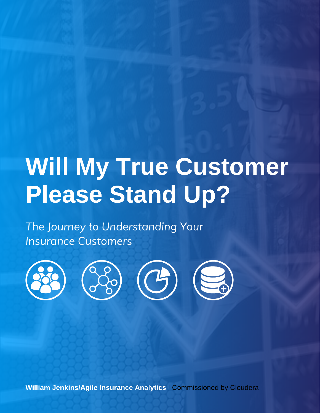# Will My True Customer Please Stand Up?

The Journey to Understanding Your Insurance Customers



William Jenkins/Agile Insurance Analytics I Commissioned by Cloudera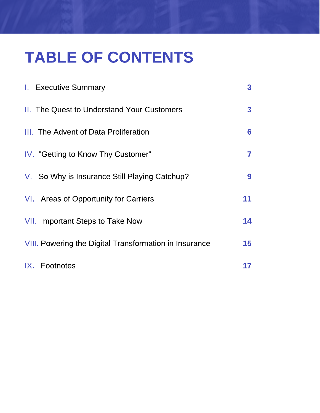# TABLE OF CONTENTS

| <b>I.</b> Executive Summary                                   | 3  |
|---------------------------------------------------------------|----|
| <b>II.</b> The Quest to Understand Your Customers             | 3  |
| III. The Advent of Data Proliferation                         | 6  |
| IV. "Getting to Know Thy Customer"                            | 7  |
| V. So Why is Insurance Still Playing Catchup?                 | 9  |
| VI. Areas of Opportunity for Carriers                         | 11 |
| VII. Important Steps to Take Now                              | 14 |
| <b>VIII.</b> Powering the Digital Transformation in Insurance | 15 |
| IX. Footnotes                                                 | 17 |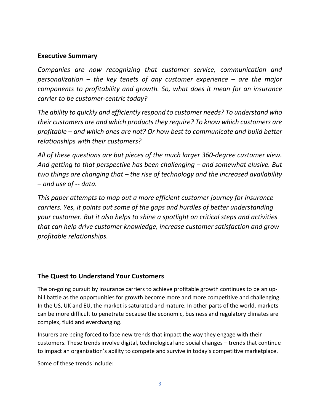### **Executive Summary**

*Companies are now recognizing that customer service, communication and personalization – the key tenets of any customer experience – are the major components to profitability and growth. So, what does it mean for an insurance carrier to be customer-centric today?*

*The ability to quickly and efficiently respond to customer needs? To understand who their customers are and which products they require? To know which customers are profitable – and which ones are not? Or how best to communicate and build better relationships with their customers?*

*All of these questions are but pieces of the much larger 360-degree customer view. And getting to that perspective has been challenging – and somewhat elusive. But two things are changing that – the rise of technology and the increased availability – and use of -- data.*

*This paper attempts to map out a more efficient customer journey for insurance carriers. Yes, it points out some of the gaps and hurdles of better understanding your customer. But it also helps to shine a spotlight on critical steps and activities that can help drive customer knowledge, increase customer satisfaction and grow profitable relationships.*

# **The Quest to Understand Your Customers**

The on-going pursuit by insurance carriers to achieve profitable growth continues to be an uphill battle as the opportunities for growth become more and more competitive and challenging. In the US, UK and EU, the market is saturated and mature. In other parts of the world, markets can be more difficult to penetrate because the economic, business and regulatory climates are complex, fluid and everchanging.

Insurers are being forced to face new trends that impact the way they engage with their customers. These trends involve digital, technological and social changes – trends that continue to impact an organization's ability to compete and survive in today's competitive marketplace.

Some of these trends include: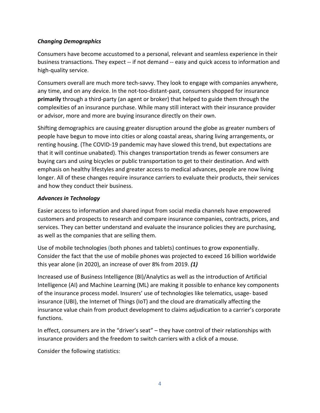#### *Changing Demographics*

Consumers have become accustomed to a personal, relevant and seamless experience in their business transactions. They expect -- if not demand -- easy and quick access to information and high-quality service.

Consumers overall are much more tech-savvy. They look to engage with companies anywhere, any time, and on any device. In the not-too-distant-past, consumers shopped for insurance **primarily** through a third-party (an agent or broker) that helped to guide them through the complexities of an insurance purchase. While many still interact with their insurance provider or advisor, more and more are buying insurance directly on their own.

Shifting demographics are causing greater disruption around the globe as greater numbers of people have begun to move into cities or along coastal areas, sharing living arrangements, or renting housing. (The COVID-19 pandemic may have slowed this trend, but expectations are that it will continue unabated). This changes transportation trends as fewer consumers are buying cars and using bicycles or public transportation to get to their destination. And with emphasis on healthy lifestyles and greater access to medical advances, people are now living longer. All of these changes require insurance carriers to evaluate their products, their services and how they conduct their business.

#### *Advances in Technology*

Easier access to information and shared input from social media channels have empowered customers and prospects to research and compare insurance companies, contracts, prices, and services. They can better understand and evaluate the insurance policies they are purchasing, as well as the companies that are selling them.

Use of mobile technologies (both phones and tablets) continues to grow exponentially. Consider the fact that the use of mobile phones was projected to exceed 16 billion worldwide this year alone (in 2020), an increase of over 8% from 2019. *(1)*

Increased use of Business Intelligence (BI)/Analytics as well as the introduction of Artificial Intelligence (AI) and Machine Learning (ML) are making it possible to enhance key components of the insurance process model. Insurers' use of technologies like telematics, usage- based insurance (UBI), the Internet of Things (IoT) and the cloud are dramatically affecting the insurance value chain from product development to claims adjudication to a carrier's corporate functions.

In effect, consumers are in the "driver's seat" – they have control of their relationships with insurance providers and the freedom to switch carriers with a click of a mouse.

Consider the following statistics: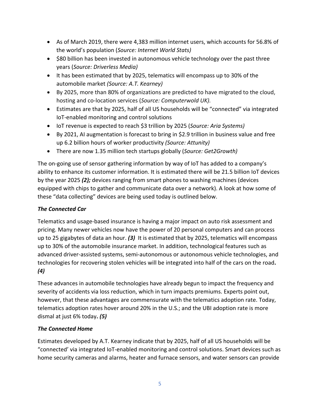- As of March 2019, there were 4,383 million internet users, which accounts for 56.8% of the world's population (*Source: Internet World Stats)*
- \$80 billion has been invested in autonomous vehicle technology over the past three years (*Source: Driverless Media)*
- It has been estimated that by 2025, telematics will encompass up to 30% of the automobile market *(Source: A.T. Kearney)*
- By 2025, more than 80% of organizations are predicted to have migrated to the cloud, hosting and co-location services (*Source: Computerwold UK).*
- Estimates are that by 2025, half of all US households will be "connected" via integrated IoT-enabled monitoring and control solutions
- IoT revenue is expected to reach \$3 trillion by 2025 (*Source: Aria Systems)*
- By 2021, AI augmentation is forecast to bring in \$2.9 trillion in business value and free up 6.2 billion hours of worker productivity *(Source: Attunity)*
- There are now 1.35 million tech startups globally (*Source: Get2Growth)*

The on-going use of sensor gathering information by way of IoT has added to a company's ability to enhance its customer information. It is estimated there will be 21.5 billion IoT devices by the year 2025 *(2);* devices ranging from smart phones to washing machines (devices equipped with chips to gather and communicate data over a network). A look at how some of these "data collecting" devices are being used today is outlined below.

#### *The Connected Car*

Telematics and usage-based insurance is having a major impact on auto risk assessment and pricing. Many newer vehicles now have the power of 20 personal computers and can process up to 25 gigabytes of data an hour. *(3)* It is estimated that by 2025, telematics will encompass up to 30% of the automobile insurance market. In addition, technological features such as advanced driver-assisted systems, semi-autonomous or autonomous vehicle technologies, and technologies for recovering stolen vehicles will be integrated into half of the cars on the road**.**  *(4)*

These advances in automobile technologies have already begun to impact the frequency and severity of accidents via loss reduction, which in turn impacts premiums. Experts point out, however, that these advantages are commensurate with the telematics adoption rate. Today, telematics adoption rates hover around 20% in the U.S.; and the UBI adoption rate is more dismal at just 6% today**.** *(5)*

#### *The Connected Home*

Estimates developed by A.T. Kearney indicate that by 2025, half of all US households will be "connected' via integrated IoT-enabled monitoring and control solutions. Smart devices such as home security cameras and alarms, heater and furnace sensors, and water sensors can provide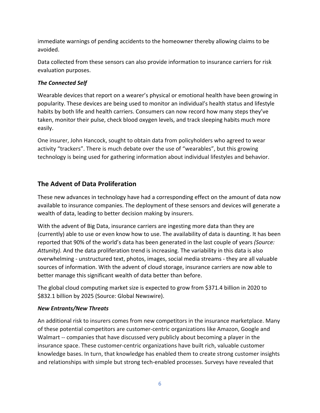immediate warnings of pending accidents to the homeowner thereby allowing claims to be avoided.

Data collected from these sensors can also provide information to insurance carriers for risk evaluation purposes.

#### *The Connected Self*

Wearable devices that report on a wearer's physical or emotional health have been growing in popularity. These devices are being used to monitor an individual's health status and lifestyle habits by both life and health carriers. Consumers can now record how many steps they've taken, monitor their pulse, check blood oxygen levels, and track sleeping habits much more easily.

One insurer, John Hancock, sought to obtain data from policyholders who agreed to wear activity "trackers". There is much debate over the use of "wearables", but this growing technology is being used for gathering information about individual lifestyles and behavior.

# **The Advent of Data Proliferation**

These new advances in technology have had a corresponding effect on the amount of data now available to insurance companies. The deployment of these sensors and devices will generate a wealth of data, leading to better decision making by insurers.

With the advent of Big Data, insurance carriers are ingesting more data than they are (currently) able to use or even know how to use. The availability of data is daunting. It has been reported that 90% of the world's data has been generated in the last couple of years *(Source: Attunity).* And the data proliferation trend is increasing. The variability in this data is also overwhelming - unstructured text, photos, images, social media streams - they are all valuable sources of information. With the advent of cloud storage, insurance carriers are now able to better manage this significant wealth of data better than before.

The global cloud computing market size is expected to grow from \$371.4 billion in 2020 to \$832.1 billion by 2025 (Source: Global Newswire).

#### *New Entrants/New Threats*

An additional risk to insurers comes from new competitors in the insurance marketplace. Many of these potential competitors are customer-centric organizations like Amazon, Google and Walmart -- companies that have discussed very publicly about becoming a player in the insurance space. These customer-centric organizations have built rich, valuable customer knowledge bases. In turn, that knowledge has enabled them to create strong customer insights and relationships with simple but strong tech-enabled processes. Surveys have revealed that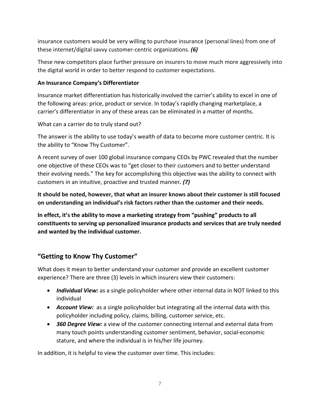insurance customers would be very willing to purchase insurance (personal lines) from one of these internet/digital savvy customer-centric organizations. *(6)*

These new competitors place further pressure on insurers to move much more aggressively into the digital world in order to better respond to customer expectations.

#### **An Insurance Company's Differentiator**

Insurance market differentiation has historically involved the carrier's ability to excel in one of the following areas: price, product or service. In today's rapidly changing marketplace, a carrier's differentiator in any of these areas can be eliminated in a matter of months.

What can a carrier do to truly stand out?

The answer is the ability to use today's wealth of data to become more customer centric. It is the ability to "Know Thy Customer".

A recent survey of over 100 global insurance company CEOs by PWC revealed that the number one objective of these CEOs was to "get closer to their customers and to better understand their evolving needs." The key for accomplishing this objective was the ability to connect with customers in an intuitive, proactive and trusted manner*. (7)*

**It should be noted, however, that what an insurer knows about their customer is still focused on understanding an individual's risk factors rather than the customer and their needs.**

**In effect, it's the ability to move a marketing strategy from "pushing" products to all constituents to serving up personalized insurance products and services that are truly needed and wanted by the individual customer.**

# **"Getting to Know Thy Customer"**

What does it mean to better understand your customer and provide an excellent customer experience? There are three (3) levels in which insurers view their customers:

- *Individual View:* as a single policyholder where other internal data in NOT linked to this individual
- *Account View:* as a single policyholder but integrating all the internal data with this policyholder including policy, claims, billing, customer service, etc.
- *360 Degree View:* a view of the customer connecting internal and external data from many touch points understanding customer sentiment, behavior, social-economic stature, and where the individual is in his/her life journey.

In addition, it is helpful to view the customer over time. This includes: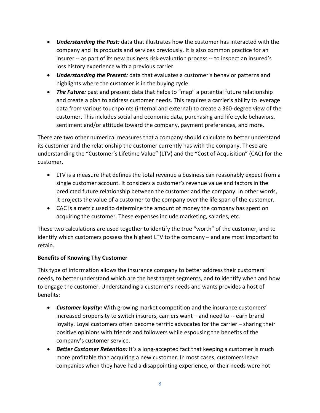- *Understanding the Past:* data that illustrates how the customer has interacted with the company and its products and services previously. It is also common practice for an insurer -- as part of its new business risk evaluation process -- to inspect an insured's loss history experience with a previous carrier.
- *Understanding the Present:* data that evaluates a customer's behavior patterns and highlights where the customer is in the buying cycle.
- *The Future:* past and present data that helps to "map" a potential future relationship and create a plan to address customer needs. This requires a carrier's ability to leverage data from various touchpoints (internal and external) to create a 360-degree view of the customer. This includes social and economic data, purchasing and life cycle behaviors, sentiment and/or attitude toward the company, payment preferences, and more.

There are two other numerical measures that a company should calculate to better understand its customer and the relationship the customer currently has with the company. These are understanding the "Customer's Lifetime Value" (LTV) and the "Cost of Acquisition" (CAC) for the customer.

- LTV is a measure that defines the total revenue a business can reasonably expect from a single customer account. It considers a customer's revenue value and factors in the predicted future relationship between the customer and the company. In other words, it projects the value of a customer to the company over the life span of the customer.
- CAC is a metric used to determine the amount of money the company has spent on acquiring the customer. These expenses include marketing, salaries, etc.

These two calculations are used together to identify the true "worth" of the customer, and to identify which customers possess the highest LTV to the company – and are most important to retain.

#### **Benefits of Knowing Thy Customer**

This type of information allows the insurance company to better address their customers' needs, to better understand which are the best target segments, and to identify when and how to engage the customer. Understanding a customer's needs and wants provides a host of benefits:

- *Customer loyalty:* With growing market competition and the insurance customers' increased propensity to switch insurers, carriers want – and need to -- earn brand loyalty. Loyal customers often become terrific advocates for the carrier – sharing their positive opinions with friends and followers while espousing the benefits of the company's customer service.
- *Better Customer Retention:* It's a long-accepted fact that keeping a customer is much more profitable than acquiring a new customer. In most cases, customers leave companies when they have had a disappointing experience, or their needs were not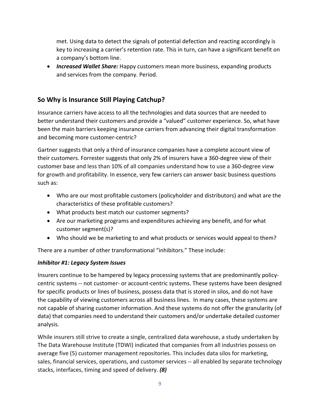met. Using data to detect the signals of potential defection and reacting accordingly is key to increasing a carrier's retention rate. This in turn, can have a significant benefit on a company's bottom line.

• *Increased Wallet Share:* Happy customers mean more business, expanding products and services from the company. Period.

# **So Why is Insurance Still Playing Catchup?**

Insurance carriers have access to all the technologies and data sources that are needed to better understand their customers and provide a "valued" customer experience. So, what have been the main barriers keeping insurance carriers from advancing their digital transformation and becoming more customer-centric?

Gartner suggests that only a third of insurance companies have a complete account view of their customers. Forrester suggests that only 2% of insurers have a 360-degree view of their customer base and less than 10% of all companies understand how to use a 360-degree view for growth and profitability. In essence, very few carriers can answer basic business questions such as:

- Who are our most profitable customers (policyholder and distributors) and what are the characteristics of these profitable customers?
- What products best match our customer segments?
- Are our marketing programs and expenditures achieving any benefit, and for what customer segment(s)?
- Who should we be marketing to and what products or services would appeal to them?

There are a number of other transformational "inhibitors." These include:

#### *Inhibitor #1: Legacy System Issues*

Insurers continue to be hampered by legacy processing systems that are predominantly policycentric systems -- not customer- or account-centric systems. These systems have been designed for specific products or lines of business, possess data that is stored in silos, and do not have the capability of viewing customers across all business lines. In many cases, these systems are not capable of sharing customer information. And these systems do not offer the granularity (of data) that companies need to understand their customers and/or undertake detailed customer analysis.

While insurers still strive to create a single, centralized data warehouse, a study undertaken by The Data Warehouse Institute (TDWI) indicated that companies from all industries possess on average five (5) customer management repositories. This includes data silos for marketing, sales, financial services, operations, and customer services -- all enabled by separate technology stacks, interfaces, timing and speed of delivery. *(8)*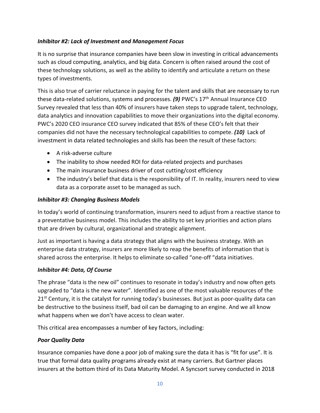#### *Inhibitor #2: Lack of Investment and Management Focus*

It is no surprise that insurance companies have been slow in investing in critical advancements such as cloud computing, analytics, and big data. Concern is often raised around the cost of these technology solutions, as well as the ability to identify and articulate a return on these types of investments.

This is also true of carrier reluctance in paying for the talent and skills that are necessary to run these data-related solutions, systems and processes. **(9)** PWC's 17<sup>th</sup> Annual Insurance CEO Survey revealed that less than 40% of insurers have taken steps to upgrade talent, technology, data analytics and innovation capabilities to move their organizations into the digital economy. PWC's 2020 CEO insurance CEO survey indicated that 85% of these CEO's felt that their companies did not have the necessary technological capabilities to compete. *(10)* Lack of investment in data related technologies and skills has been the result of these factors:

- A risk-adverse culture
- The inability to show needed ROI for data-related projects and purchases
- The main insurance business driver of cost cutting/cost efficiency
- The industry's belief that data is the responsibility of IT. In reality, insurers need to view data as a corporate asset to be managed as such.

#### *Inhibitor #3: Changing Business Models*

In today's world of continuing transformation, insurers need to adjust from a reactive stance to a preventative business model. This includes the ability to set key priorities and action plans that are driven by cultural, organizational and strategic alignment.

Just as important is having a data strategy that aligns with the business strategy. With an enterprise data strategy, insurers are more likely to reap the benefits of information that is shared across the enterprise. It helps to eliminate so-called "one-off "data initiatives.

#### *Inhibitor #4: Data, Of Course*

The phrase "data is the new oil" continues to resonate in today's industry and now often gets upgraded to "data is the new water". Identified as one of the most valuable resources of the  $21<sup>st</sup>$  Century, it is the catalyst for running today's businesses. But just as poor-quality data can be destructive to the business itself, bad oil can be damaging to an engine. And we all know what happens when we don't have access to clean water.

This critical area encompasses a number of key factors, including:

#### *Poor Quality Data*

Insurance companies have done a poor job of making sure the data it has is "fit for use". It is true that formal data quality programs already exist at many carriers. But Gartner places insurers at the bottom third of its Data Maturity Model. A Syncsort survey conducted in 2018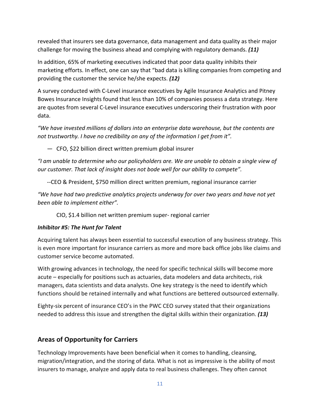revealed that insurers see data governance, data management and data quality as their major challenge for moving the business ahead and complying with regulatory demands. *(11)*

In addition, 65% of marketing executives indicated that poor data quality inhibits their marketing efforts. In effect, one can say that "bad data is killing companies from competing and providing the customer the service he/she expects. *(12)*

A survey conducted with C-Level insurance executives by Agile Insurance Analytics and Pitney Bowes Insurance Insights found that less than 10% of companies possess a data strategy. Here are quotes from several C-Level insurance executives underscoring their frustration with poor data.

*"We have invested millions of dollars into an enterprise data warehouse, but the contents are not trustworthy. I have no credibility on any of the information I get from it".*

— CFO, \$22 billion direct written premium global insurer

*"I am unable to determine who our policyholders are. We are unable to obtain a single view of our customer. That lack of insight does not bode well for our ability to compete".* 

--CEO & President, \$750 million direct written premium, regional insurance carrier

*"We have had two predictive analytics projects underway for over two years and have not yet been able to implement either".* 

CIO, \$1.4 billion net written premium super- regional carrier

#### *Inhibitor #5: The Hunt for Talent*

Acquiring talent has always been essential to successful execution of any business strategy. This is even more important for insurance carriers as more and more back office jobs like claims and customer service become automated.

With growing advances in technology, the need for specific technical skills will become more acute – especially for positions such as actuaries, data modelers and data architects, risk managers, data scientists and data analysts. One key strategy is the need to identify which functions should be retained internally and what functions are bettered outsourced externally.

Eighty-six percent of insurance CEO's in the PWC CEO survey stated that their organizations needed to address this issue and strengthen the digital skills within their organization. *(13)*

#### **Areas of Opportunity for Carriers**

Technology Improvements have been beneficial when it comes to handling, cleansing, migration/integration, and the storing of data. What is not as impressive is the ability of most insurers to manage, analyze and apply data to real business challenges. They often cannot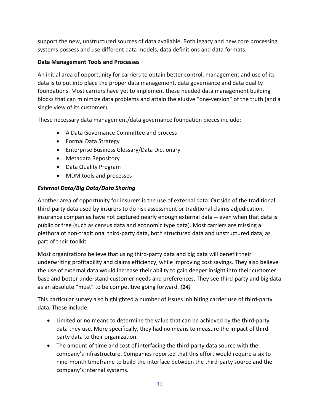support the new, unstructured sources of data available. Both legacy and new core processing systems possess and use different data models, data definitions and data formats.

#### **Data Management Tools and Processes**

An initial area of opportunity for carriers to obtain better control, management and use of its data is to put into place the proper data management, data governance and data quality foundations. Most carriers have yet to implement these needed data management building blocks that can minimize data problems and attain the elusive "one-version" of the truth (and a single view of its customer).

These necessary data management/data governance foundation pieces include:

- A Data Governance Committee and process
- Formal Data Strategy
- Enterprise Business Glossary/Data Dictionary
- Metadata Repository
- Data Quality Program
- MDM tools and processes

# *External Data/Big Data/Data Sharing*

Another area of opportunity for insurers is the use of external data. Outside of the traditional third-party data used by insurers to do risk assessment or traditional claims adjudication, insurance companies have not captured nearly enough external data -- even when that data is public or free (such as census data and economic type data). Most carriers are missing a plethora of non-traditional third-party data, both structured data and unstructured data, as part of their toolkit.

Most organizations believe that using third-party data and big data will benefit their underwriting profitability and claims efficiency, while improving cost savings. They also believe the use of external data would increase their ability to gain deeper insight into their customer base and better understand customer needs and preferences. They see third-party and big data as an absolute "must" to be competitive going forward. *(14)*

This particular survey also highlighted a number of issues inhibiting carrier use of third-party data. These include:

- Limited or no means to determine the value that can be achieved by the third-party data they use. More specifically, they had no means to measure the impact of thirdparty data to their organization.
- The amount of time and cost of interfacing the third-party data source with the company's infrastructure. Companies reported that this effort would require a six to nine-month timeframe to build the interface between the third-party source and the company's internal systems.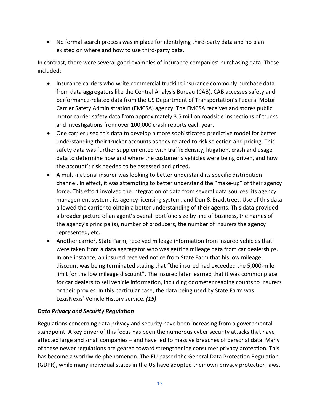• No formal search process was in place for identifying third-party data and no plan existed on where and how to use third-party data.

In contrast, there were several good examples of insurance companies' purchasing data. These included:

- Insurance carriers who write commercial trucking insurance commonly purchase data from data aggregators like the Central Analysis Bureau (CAB). CAB accesses safety and performance-related data from the US Department of Transportation's Federal Motor Carrier Safety Administration (FMCSA) agency. The FMCSA receives and stores public motor carrier safety data from approximately 3.5 million roadside inspections of trucks and investigations from over 100,000 crash reports each year.
- One carrier used this data to develop a more sophisticated predictive model for better understanding their trucker accounts as they related to risk selection and pricing. This safety data was further supplemented with traffic density, litigation, crash and usage data to determine how and where the customer's vehicles were being driven, and how the account's risk needed to be assessed and priced.
- A multi-national insurer was looking to better understand its specific distribution channel. In effect, it was attempting to better understand the "make-up" of their agency force. This effort involved the integration of data from several data sources: its agency management system, its agency licensing system, and Dun & Bradstreet. Use of this data allowed the carrier to obtain a better understanding of their agents. This data provided a broader picture of an agent's overall portfolio size by line of business, the names of the agency's principal(s), number of producers, the number of insurers the agency represented, etc.
- Another carrier, State Farm, received mileage information from insured vehicles that were taken from a data aggregator who was getting mileage data from car dealerships. In one instance, an insured received notice from State Farm that his low mileage discount was being terminated stating that "the insured had exceeded the 5,000-mile limit for the low mileage discount". The insured later learned that it was commonplace for car dealers to sell vehicle information, including odometer reading counts to insurers or their proxies. In this particular case, the data being used by State Farm was LexisNexis' Vehicle History service. *(15)*

#### *Data Privacy and Security Regulation*

Regulations concerning data privacy and security have been increasing from a governmental standpoint. A key driver of this focus has been the numerous cyber security attacks that have affected large and small companies – and have led to massive breaches of personal data. Many of these newer regulations are geared toward strengthening consumer privacy protection. This has become a worldwide phenomenon. The EU passed the General Data Protection Regulation (GDPR), while many individual states in the US have adopted their own privacy protection laws.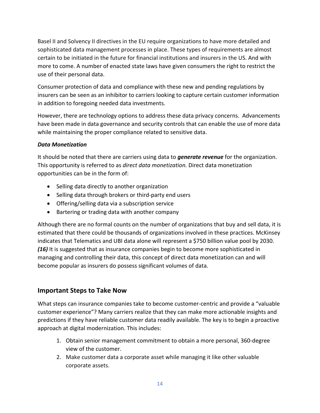Basel II and Solvency II directives in the EU require organizations to have more detailed and sophisticated data management processes in place. These types of requirements are almost certain to be initiated in the future for financial institutions and insurers in the US. And with more to come. A number of enacted state laws have given consumers the right to restrict the use of their personal data.

Consumer protection of data and compliance with these new and pending regulations by insurers can be seen as an inhibitor to carriers looking to capture certain customer information in addition to foregoing needed data investments.

However, there are technology options to address these data privacy concerns. Advancements have been made in data governance and security controls that can enable the use of more data while maintaining the proper compliance related to sensitive data.

#### *Data Monetization*

It should be noted that there are carriers using data to *generate revenue* for the organization. This opportunity is referred to as *direct data monetization.* Direct data monetization opportunities can be in the form of:

- Selling data directly to another organization
- Selling data through brokers or third-party end users
- Offering/selling data via a subscription service
- Bartering or trading data with another company

Although there are no formal counts on the number of organizations that buy and sell data, it is estimated that there could be thousands of organizations involved in these practices. McKinsey indicates that Telematics and UBI data alone will represent a \$750 billion value pool by 2030. *(16)* It is suggested that as insurance companies begin to become more sophisticated in managing and controlling their data, this concept of direct data monetization can and will become popular as insurers do possess significant volumes of data.

# **Important Steps to Take Now**

What steps can insurance companies take to become customer-centric and provide a "valuable customer experience"? Many carriers realize that they can make more actionable insights and predictions if they have reliable customer data readily available. The key is to begin a proactive approach at digital modernization. This includes:

- 1. Obtain senior management commitment to obtain a more personal, 360-degree view of the customer.
- 2. Make customer data a corporate asset while managing it like other valuable corporate assets.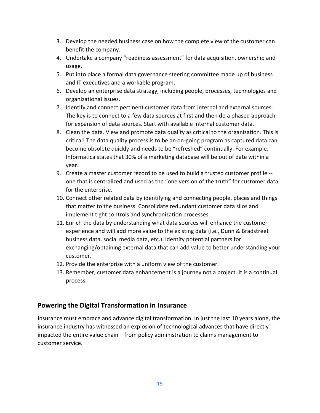- 3. Develop the needed business case on how the complete view of the customer can benefit the company.
- 4. Undertake a company "readiness assessment" for data acquisition, ownership and usage.
- 5. Put into place a formal data governance steering committee made up of business and IT executives and a workable program.
- 6. Develop an enterprise data strategy, including people, processes, technologies and organizational issues.
- 7. Identify and connect pertinent customer data from internal and external sources. The key is to connect to a few data sources at first and then do a phased approach for expansion of data sources. Start with available internal customer data.
- 8. Clean the data. View and promote data quality as critical to the organization. This is critical! The data quality process is to be an on-going program as captured data can become obsolete quickly and needs to be "refreshed" continually. For example, Informatica states that 30% of a marketing database will be out of date within a year.
- 9. Create a master customer record to be used to build a trusted customer profile one that is centralized and used as the "one version of the truth" for customer data for the enterprise.
- 10. Connect other related data by identifying and connecting people, places and things that matter to the business. Consolidate redundant customer data silos and implement tight controls and synchronization processes.
- 11. Enrich the data by understanding what data sources will enhance the customer experience and will add more value to the existing data (i.e., Dunn & Bradstreet business data, social media data, etc.). Identify potential partners for exchanging/obtaining external data that can add value to better understanding your customer.
- 12. Provide the enterprise with a uniform view of the customer.
- 13. Remember, customer data enhancement is a journey not a project. It is a continual process.

#### **Powering the Digital Transformation in Insurance**

Insurance must embrace and advance digital transformation. In just the last 10 years alone, the insurance industry has witnessed an explosion of technological advances that have directly impacted the entire value chain – from policy administration to claims management to customer service.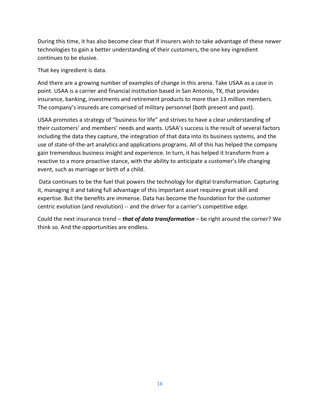During this time, it has also become clear that if insurers wish to take advantage of these newer technologies to gain a better understanding of their customers, the one key ingredient continues to be elusive.

That key ingredient is data.

And there are a growing number of examples of change in this arena. Take USAA as a case in point. USAA is a carrier and financial institution based in San Antonio, TX, that provides insurance, banking, investments and retirement products to more than 13 million members. The company's insureds are comprised of military personnel (both present and past).

USAA promotes a strategy of "business for life" and strives to have a clear understanding of their customers' and members' needs and wants. USAA's success is the result of several factors including the data they capture, the integration of that data into its business systems, and the use of state-of-the-art analytics and applications programs. All of this has helped the company gain tremendous business insight and experience. In turn, it has helped it transform from a reactive to a more proactive stance, with the ability to anticipate a customer's life changing event, such as marriage or birth of a child.

Data continues to be the fuel that powers the technology for digital transformation. Capturing it, managing it and taking full advantage of this important asset requires great skill and expertise. But the benefits are immense. Data has become the foundation for the customer centric evolution (and revolution) -- and the driver for a carrier's competitive edge.

Could the next insurance trend – *that of data transformation* – be right around the corner? We think so. And the opportunities are endless.